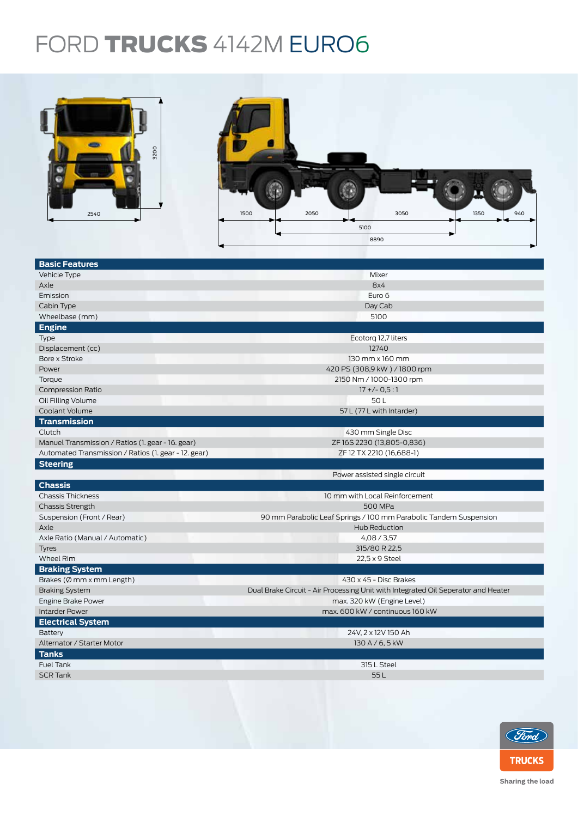## FORD TRUCKS 4142M EURO6



| <b>Basic Features</b>                                |                                                                                   |  |  |  |  |
|------------------------------------------------------|-----------------------------------------------------------------------------------|--|--|--|--|
| Vehicle Type                                         | Mixer                                                                             |  |  |  |  |
| Axle                                                 | 8x4                                                                               |  |  |  |  |
| Emission                                             | Euro 6                                                                            |  |  |  |  |
| Cabin Type                                           | Day Cab                                                                           |  |  |  |  |
| Wheelbase (mm)                                       | 5100                                                                              |  |  |  |  |
| <b>Engine</b>                                        |                                                                                   |  |  |  |  |
| Type                                                 | Ecotorg 12,7 liters                                                               |  |  |  |  |
| Displacement (cc)                                    | 12740                                                                             |  |  |  |  |
| Bore x Stroke                                        | 130 mm x 160 mm                                                                   |  |  |  |  |
| Power                                                | 420 PS (308,9 kW) / 1800 rpm                                                      |  |  |  |  |
| Torque                                               | 2150 Nm / 1000-1300 rpm                                                           |  |  |  |  |
| <b>Compression Ratio</b>                             | $17 + (-0.5:1)$                                                                   |  |  |  |  |
| Oil Filling Volume                                   | 50L                                                                               |  |  |  |  |
| Coolant Volume                                       | 57 L (77 L with Intarder)                                                         |  |  |  |  |
| <b>Transmission</b>                                  |                                                                                   |  |  |  |  |
| Clutch                                               | 430 mm Single Disc                                                                |  |  |  |  |
| Manuel Transmission / Ratios (1. gear - 16. gear)    | ZF16S2230 (13,805-0,836)                                                          |  |  |  |  |
| Automated Transmission / Ratios (1. gear - 12. gear) | ZF 12 TX 2210 (16,688-1)                                                          |  |  |  |  |
| <b>Steering</b>                                      |                                                                                   |  |  |  |  |
|                                                      | Power assisted single circuit                                                     |  |  |  |  |
| <b>Chassis</b>                                       |                                                                                   |  |  |  |  |
| <b>Chassis Thickness</b>                             | 10 mm with Local Reinforcement                                                    |  |  |  |  |
| <b>Chassis Strength</b>                              | 500 MPa                                                                           |  |  |  |  |
| Suspension (Front / Rear)                            | 90 mm Parabolic Leaf Springs / 100 mm Parabolic Tandem Suspension                 |  |  |  |  |
| Axle                                                 | Hub Reduction                                                                     |  |  |  |  |
| Axle Ratio (Manual / Automatic)                      | 4,08/3,57                                                                         |  |  |  |  |
| <b>Tyres</b>                                         | 315/80 R 22,5                                                                     |  |  |  |  |
| Wheel Rim                                            | 22,5 x 9 Steel                                                                    |  |  |  |  |
| <b>Braking System</b>                                |                                                                                   |  |  |  |  |
| Brakes ( $\emptyset$ mm x mm Length)                 | 430 x 45 - Disc Brakes                                                            |  |  |  |  |
| <b>Braking System</b>                                | Dual Brake Circuit - Air Processing Unit with Integrated Oil Seperator and Heater |  |  |  |  |
| Engine Brake Power                                   | max. 320 kW (Engine Level)                                                        |  |  |  |  |
| <b>Intarder Power</b>                                | max, 600 kW / continuous 160 kW                                                   |  |  |  |  |
| <b>Electrical System</b>                             |                                                                                   |  |  |  |  |
| <b>Battery</b>                                       | 24V, 2 x 12V 150 Ah                                                               |  |  |  |  |
| Alternator / Starter Motor                           | 130 A / 6, 5 kW                                                                   |  |  |  |  |
| <b>Tanks</b>                                         |                                                                                   |  |  |  |  |
| Fuel Tank                                            | 315 L Steel                                                                       |  |  |  |  |
| <b>SCR Tank</b>                                      | 55L                                                                               |  |  |  |  |
|                                                      |                                                                                   |  |  |  |  |
|                                                      |                                                                                   |  |  |  |  |